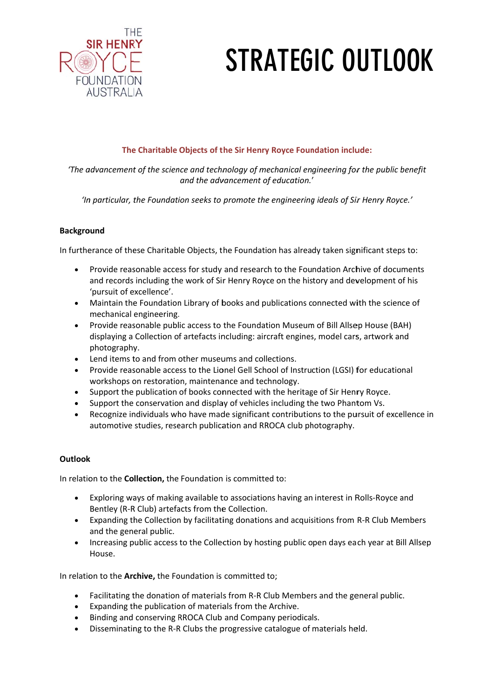

## **STRATEGIC OUTLOOK**

## The Charitable Objects of the Sir Henry Royce Foundation include:

'The advancement of the science and technology of mechanical engineering for the public benefit and the advancement of education.'

'In particular, the Foundation seeks to promote the engineering ideals of Sir Henry Royce.'

## **Background**

In furtherance of these Charitable Objects, the Foundation has already taken significant steps to:

- Provide reasonable access for study and research to the Foundation Archive of documents  $\bullet$ and records including the work of Sir Henry Royce on the history and development of his 'pursuit of excellence'.
- Maintain the Foundation Library of books and publications connected with the science of mechanical engineering.
- Provide reasonable public access to the Foundation Museum of Bill Allsep House (BAH)  $\bullet$ displaying a Collection of artefacts including: aircraft engines, model cars, artwork and photography.
- Lend items to and from other museums and collections.
- Provide reasonable access to the Lionel Gell School of Instruction (LGSI) for educational workshops on restoration, maintenance and technology.
- Support the publication of books connected with the heritage of Sir Henry Royce.
- Support the conservation and display of vehicles including the two Phantom Vs.
- Recognize individuals who have made significant contributions to the pursuit of excellence in  $\bullet$ automotive studies, research publication and RROCA club photography.

## **Outlook**

In relation to the **Collection**, the Foundation is committed to:

- Exploring ways of making available to associations having an interest in Rolls-Royce and Bentley (R-R Club) artefacts from the Collection.
- Expanding the Collection by facilitating donations and acquisitions from R-R Club Members  $\bullet$ and the general public.
- Increasing public access to the Collection by hosting public open days each year at Bill Allsep  $\bullet$ House.

In relation to the Archive, the Foundation is committed to;

- Facilitating the donation of materials from R-R Club Members and the general public.
- Expanding the publication of materials from the Archive.  $\bullet$
- Binding and conserving RROCA Club and Company periodicals.  $\bullet$
- Disseminating to the R-R Clubs the progressive catalogue of materials held.